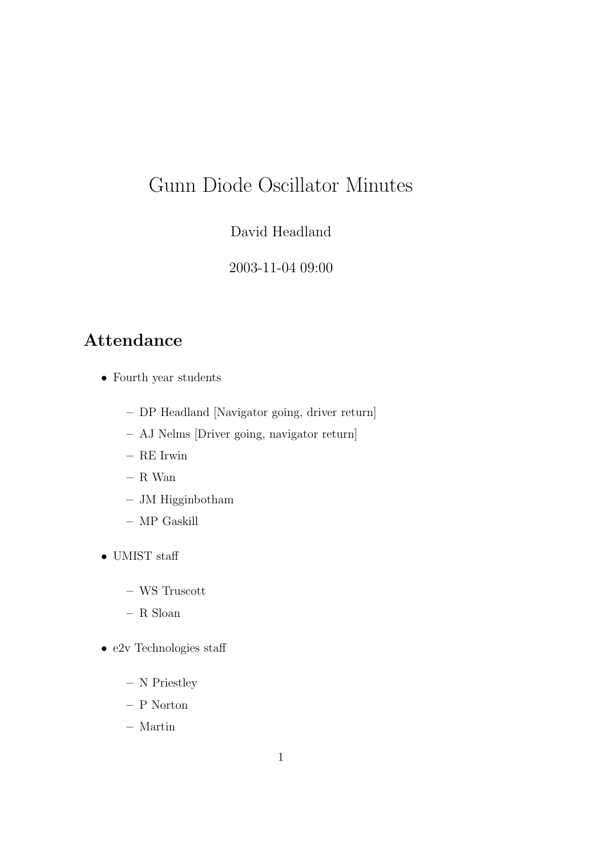# Gunn Diode Oscillator Minutes

David Headland

2003-11-04 09:00

### Attendance

- Fourth year students
	- DP Headland [Navigator going, driver return]
	- AJ Nelms [Driver going, navigator return]
	- RE Irwin
	- R Wan
	- JM Higginbotham
	- MP Gaskill
- UMIST staff
	- WS Truscott
	- R Sloan
- e2v Technologies staff
	- N Priestley
	- P Norton
	- Martin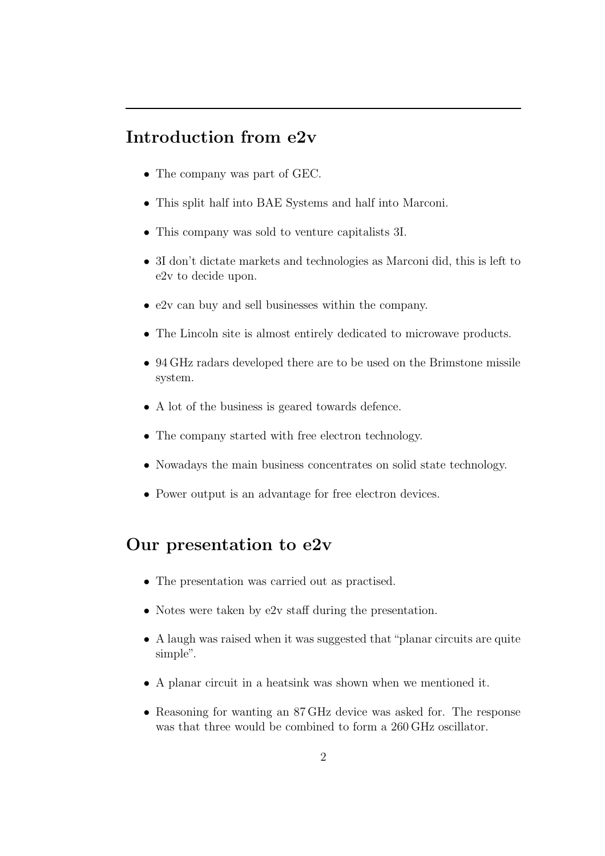### Introduction from e2v

- The company was part of GEC.
- This split half into BAE Systems and half into Marconi.
- This company was sold to venture capitalists 3I.
- 3I don't dictate markets and technologies as Marconi did, this is left to e2v to decide upon.
- e2v can buy and sell businesses within the company.
- The Lincoln site is almost entirely dedicated to microwave products.
- 94 GHz radars developed there are to be used on the Brimstone missile system.
- A lot of the business is geared towards defence.
- The company started with free electron technology.
- Nowadays the main business concentrates on solid state technology.
- Power output is an advantage for free electron devices.

## Our presentation to e2v

- The presentation was carried out as practised.
- Notes were taken by e2v staff during the presentation.
- A laugh was raised when it was suggested that "planar circuits are quite simple".
- A planar circuit in a heatsink was shown when we mentioned it.
- Reasoning for wanting an 87 GHz device was asked for. The response was that three would be combined to form a 260 GHz oscillator.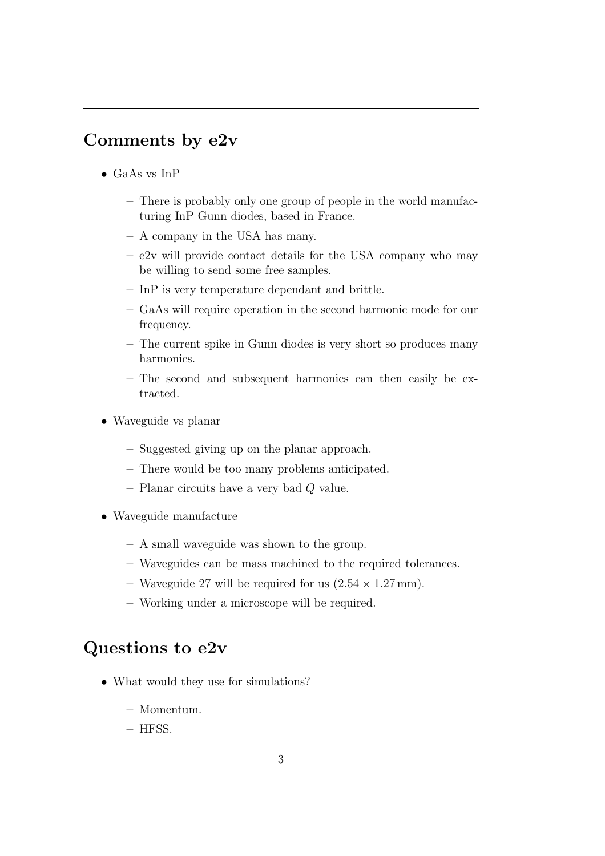### Comments by e2v

- GaAs vs InP
	- There is probably only one group of people in the world manufacturing InP Gunn diodes, based in France.
	- A company in the USA has many.
	- e2v will provide contact details for the USA company who may be willing to send some free samples.
	- InP is very temperature dependant and brittle.
	- GaAs will require operation in the second harmonic mode for our frequency.
	- The current spike in Gunn diodes is very short so produces many harmonics.
	- The second and subsequent harmonics can then easily be extracted.
- Waveguide vs planar
	- Suggested giving up on the planar approach.
	- There would be too many problems anticipated.
	- Planar circuits have a very bad Q value.
- Waveguide manufacture
	- A small waveguide was shown to the group.
	- Waveguides can be mass machined to the required tolerances.
	- Waveguide 27 will be required for us  $(2.54 \times 1.27 \text{ mm})$ .
	- Working under a microscope will be required.

#### Questions to e2v

- What would they use for simulations?
	- Momentum.
	- HFSS.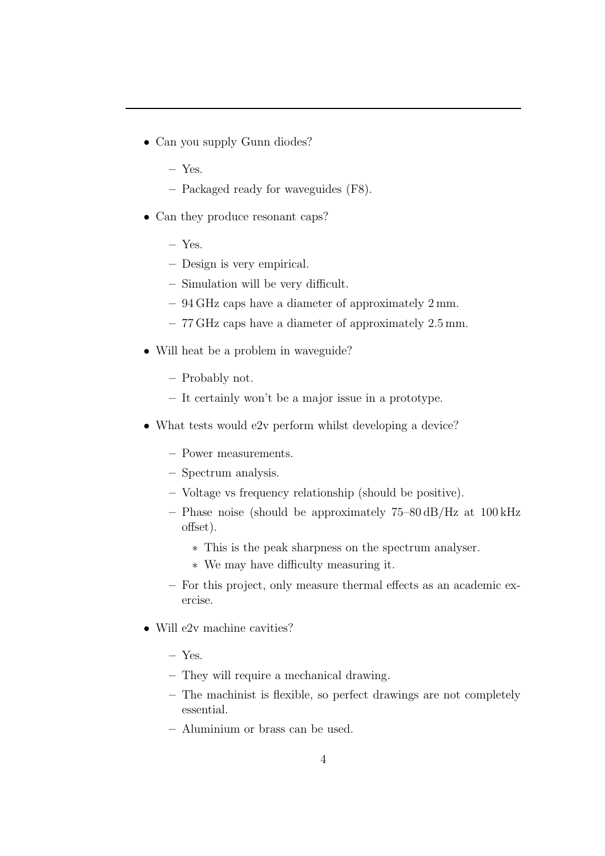- Can you supply Gunn diodes?
	- Yes.
	- Packaged ready for waveguides (F8).
- Can they produce resonant caps?
	- Yes.
	- Design is very empirical.
	- Simulation will be very difficult.
	- 94 GHz caps have a diameter of approximately 2 mm.
	- 77 GHz caps have a diameter of approximately 2.5 mm.
- Will heat be a problem in waveguide?
	- Probably not.
	- It certainly won't be a major issue in a prototype.
- What tests would e2v perform whilst developing a device?
	- Power measurements.
	- Spectrum analysis.
	- Voltage vs frequency relationship (should be positive).
	- Phase noise (should be approximately 75–80 dB/Hz at 100 kHz offset).
		- ∗ This is the peak sharpness on the spectrum analyser.
		- ∗ We may have difficulty measuring it.
	- For this project, only measure thermal effects as an academic exercise.
- Will e2v machine cavities?
	- Yes.
	- They will require a mechanical drawing.
	- The machinist is flexible, so perfect drawings are not completely essential.
	- Aluminium or brass can be used.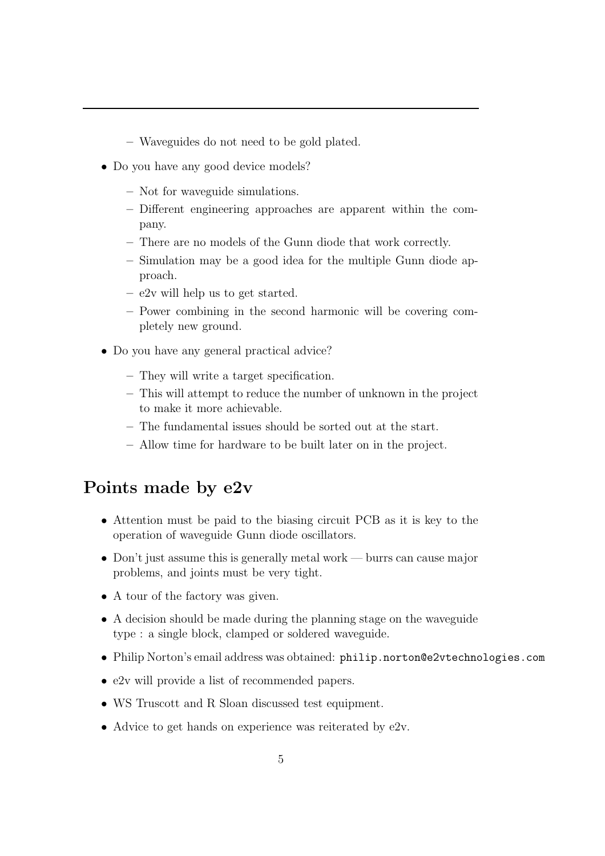- Waveguides do not need to be gold plated.
- Do you have any good device models?
	- Not for waveguide simulations.
	- Different engineering approaches are apparent within the company.
	- There are no models of the Gunn diode that work correctly.
	- Simulation may be a good idea for the multiple Gunn diode approach.
	- e2v will help us to get started.
	- Power combining in the second harmonic will be covering completely new ground.
- Do you have any general practical advice?
	- They will write a target specification.
	- This will attempt to reduce the number of unknown in the project to make it more achievable.
	- The fundamental issues should be sorted out at the start.
	- Allow time for hardware to be built later on in the project.

#### Points made by e2v

- Attention must be paid to the biasing circuit PCB as it is key to the operation of waveguide Gunn diode oscillators.
- Don't just assume this is generally metal work burrs can cause major problems, and joints must be very tight.
- A tour of the factory was given.
- A decision should be made during the planning stage on the waveguide type : a single block, clamped or soldered waveguide.
- Philip Norton's email address was obtained: philip.norton@e2vtechnologies.com
- e2v will provide a list of recommended papers.
- WS Truscott and R Sloan discussed test equipment.
- Advice to get hands on experience was reiterated by e2v.